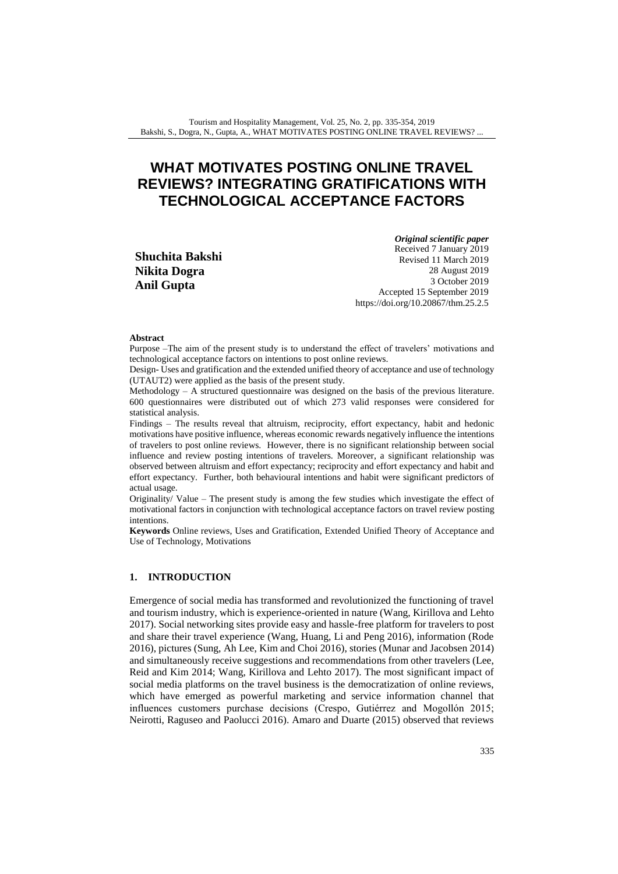# **WHAT MOTIVATES POSTING ONLINE TRAVEL REVIEWS? INTEGRATING GRATIFICATIONS WITH TECHNOLOGICAL ACCEPTANCE FACTORS**

**Shuchita Bakshi Nikita Dogra Anil Gupta**

*Original scientific paper*

Received 7 January 2019 Revised 11 March 2019 28 August 2019 3 October 2019 Accepted 15 September 2019 <https://doi.org/10.20867/thm.25.2.5>

#### **Abstract**

Purpose –The aim of the present study is to understand the effect of travelers' motivations and technological acceptance factors on intentions to post online reviews.

Design- Uses and gratification and the extended unified theory of acceptance and use of technology (UTAUT2) were applied as the basis of the present study.

Methodology – A structured questionnaire was designed on the basis of the previous literature. 600 questionnaires were distributed out of which 273 valid responses were considered for statistical analysis.

Findings – The results reveal that altruism, reciprocity, effort expectancy, habit and hedonic motivations have positive influence, whereas economic rewards negatively influence the intentions of travelers to post online reviews. However, there is no significant relationship between social influence and review posting intentions of travelers. Moreover, a significant relationship was observed between altruism and effort expectancy; reciprocity and effort expectancy and habit and effort expectancy. Further, both behavioural intentions and habit were significant predictors of actual usage.

Originality/ Value – The present study is among the few studies which investigate the effect of motivational factors in conjunction with technological acceptance factors on travel review posting intentions.

**Keywords** Online reviews, Uses and Gratification, Extended Unified Theory of Acceptance and Use of Technology, Motivations

### **1. INTRODUCTION**

Emergence of social media has transformed and revolutionized the functioning of travel and tourism industry, which is experience-oriented in nature (Wang, Kirillova and Lehto 2017). Social networking sites provide easy and hassle-free platform for travelers to post and share their travel experience (Wang, Huang, Li and Peng 2016), information (Rode 2016), pictures (Sung, Ah Lee, Kim and Choi 2016), stories (Munar and Jacobsen 2014) and simultaneously receive suggestions and recommendations from other travelers (Lee, Reid and Kim 2014; Wang, Kirillova and Lehto 2017). The most significant impact of social media platforms on the travel business is the democratization of online reviews, which have emerged as powerful marketing and service information channel that influences customers purchase decisions (Crespo, Gutiérrez and Mogollón 2015; Neirotti, Raguseo and Paolucci 2016). Amaro and Duarte (2015) observed that reviews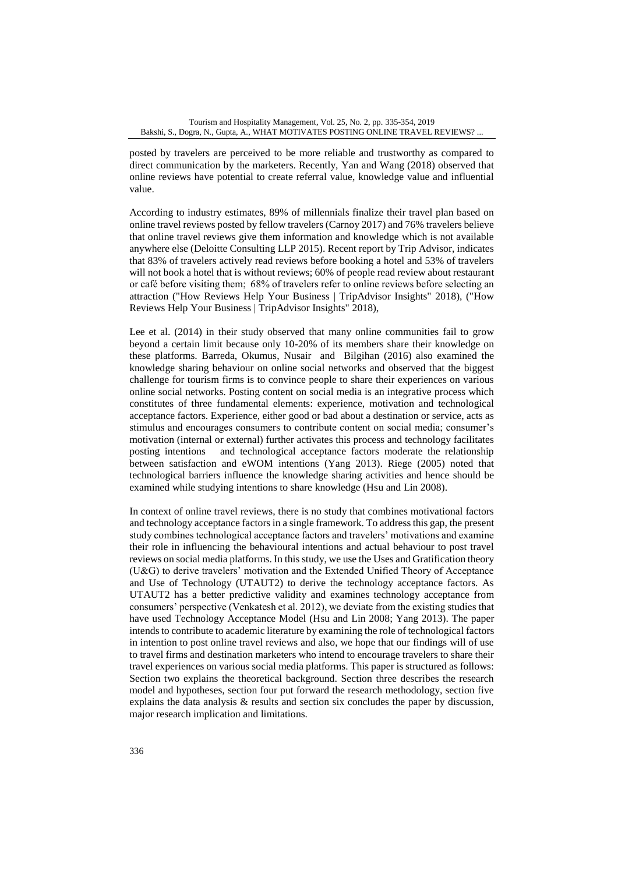posted by travelers are perceived to be more reliable and trustworthy as compared to direct communication by the marketers. Recently, Yan and Wang (2018) observed that online reviews have potential to create referral value, knowledge value and influential value.

According to industry estimates, 89% of millennials finalize their travel plan based on online travel reviews posted by fellow travelers (Carnoy 2017) and 76% travelers believe that online travel reviews give them information and knowledge which is not available anywhere else (Deloitte Consulting LLP 2015). Recent report by Trip Advisor, indicates that 83% of travelers actively read reviews before booking a hotel and 53% of travelers will not book a hotel that is without reviews; 60% of people read review about restaurant or café before visiting them; 68% of travelers refer to online reviews before selecting an attraction ("How Reviews Help Your Business | TripAdvisor Insights" 2018), ("How Reviews Help Your Business | TripAdvisor Insights" 2018),

Lee et al. (2014) in their study observed that many online communities fail to grow beyond a certain limit because only 10-20% of its members share their knowledge on these platforms. Barreda, Okumus, Nusair and Bilgihan (2016) also examined the knowledge sharing behaviour on online social networks and observed that the biggest challenge for tourism firms is to convince people to share their experiences on various online social networks. Posting content on social media is an integrative process which constitutes of three fundamental elements: experience, motivation and technological acceptance factors. Experience, either good or bad about a destination or service, acts as stimulus and encourages consumers to contribute content on social media; consumer's motivation (internal or external) further activates this process and technology facilitates posting intentions and technological acceptance factors moderate the relationship between satisfaction and eWOM intentions (Yang 2013). Riege (2005) noted that technological barriers influence the knowledge sharing activities and hence should be examined while studying intentions to share knowledge (Hsu and Lin 2008).

In context of online travel reviews, there is no study that combines motivational factors and technology acceptance factors in a single framework. To address this gap, the present study combines technological acceptance factors and travelers' motivations and examine their role in influencing the behavioural intentions and actual behaviour to post travel reviews on social media platforms. In this study, we use the Uses and Gratification theory (U&G) to derive travelers' motivation and the Extended Unified Theory of Acceptance and Use of Technology (UTAUT2) to derive the technology acceptance factors. As UTAUT2 has a better predictive validity and examines technology acceptance from consumers' perspective (Venkatesh et al. 2012), we deviate from the existing studies that have used Technology Acceptance Model (Hsu and Lin 2008; Yang 2013). The paper intends to contribute to academic literature by examining the role of technological factors in intention to post online travel reviews and also, we hope that our findings will of use to travel firms and destination marketers who intend to encourage travelers to share their travel experiences on various social media platforms. This paper is structured as follows: Section two explains the theoretical background. Section three describes the research model and hypotheses, section four put forward the research methodology, section five explains the data analysis  $\&$  results and section six concludes the paper by discussion, major research implication and limitations.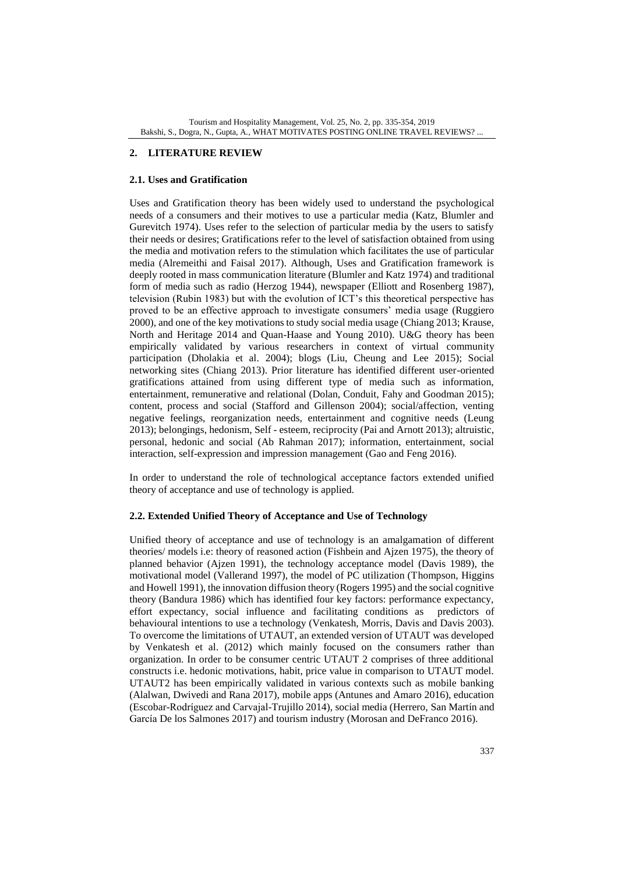# **2. LITERATURE REVIEW**

### **2.1. Uses and Gratification**

Uses and Gratification theory has been widely used to understand the psychological needs of a consumers and their motives to use a particular media (Katz, Blumler and Gurevitch 1974). Uses refer to the selection of particular media by the users to satisfy their needs or desires; Gratifications refer to the level of satisfaction obtained from using the media and motivation refers to the stimulation which facilitates the use of particular media (Alremeithi and Faisal 2017). Although, Uses and Gratification framework is deeply rooted in mass communication literature (Blumler and Katz 1974) and traditional form of media such as radio (Herzog 1944), newspaper (Elliott and Rosenberg 1987), television (Rubin 1983) but with the evolution of ICT's this theoretical perspective has proved to be an effective approach to investigate consumers' media usage (Ruggiero 2000), and one of the key motivations to study social media usage (Chiang 2013; Krause, North and Heritage 2014 and Quan-Haase and Young 2010). U&G theory has been empirically validated by various researchers in context of virtual community participation (Dholakia et al. 2004); blogs (Liu, Cheung and Lee 2015); Social networking sites (Chiang 2013). Prior literature has identified different user-oriented gratifications attained from using different type of media such as information, entertainment, remunerative and relational (Dolan, Conduit, Fahy and Goodman 2015); content, process and social (Stafford and Gillenson 2004); social/affection, venting negative feelings, reorganization needs, entertainment and cognitive needs (Leung 2013); belongings, hedonism, Self - esteem, reciprocity (Pai and Arnott 2013); altruistic, personal, hedonic and social (Ab Rahman 2017); information, entertainment, social interaction, self-expression and impression management (Gao and Feng 2016).

In order to understand the role of technological acceptance factors extended unified theory of acceptance and use of technology is applied.

# **2.2. Extended Unified Theory of Acceptance and Use of Technology**

Unified theory of acceptance and use of technology is an amalgamation of different theories/ models i.e: theory of reasoned action (Fishbein and Ajzen 1975), the theory of planned behavior (Ajzen 1991), the technology acceptance model (Davis 1989), the motivational model (Vallerand 1997), the model of PC utilization (Thompson, Higgins and Howell 1991), the innovation diffusion theory (Rogers 1995) and the social cognitive theory (Bandura 1986) which has identified four key factors: performance expectancy, effort expectancy, social influence and facilitating conditions as predictors of behavioural intentions to use a technology (Venkatesh, Morris, Davis and Davis 2003). To overcome the limitations of UTAUT, an extended version of UTAUT was developed by Venkatesh et al. (2012) which mainly focused on the consumers rather than organization. In order to be consumer centric UTAUT 2 comprises of three additional constructs i.e. hedonic motivations, habit, price value in comparison to UTAUT model. UTAUT2 has been empirically validated in various contexts such as mobile banking (Alalwan, Dwivedi and Rana 2017), mobile apps (Antunes and Amaro 2016), education (Escobar-Rodríguez and Carvajal-Trujillo 2014), social media (Herrero, San Martín and García De los Salmones 2017) and tourism industry (Morosan and DeFranco 2016).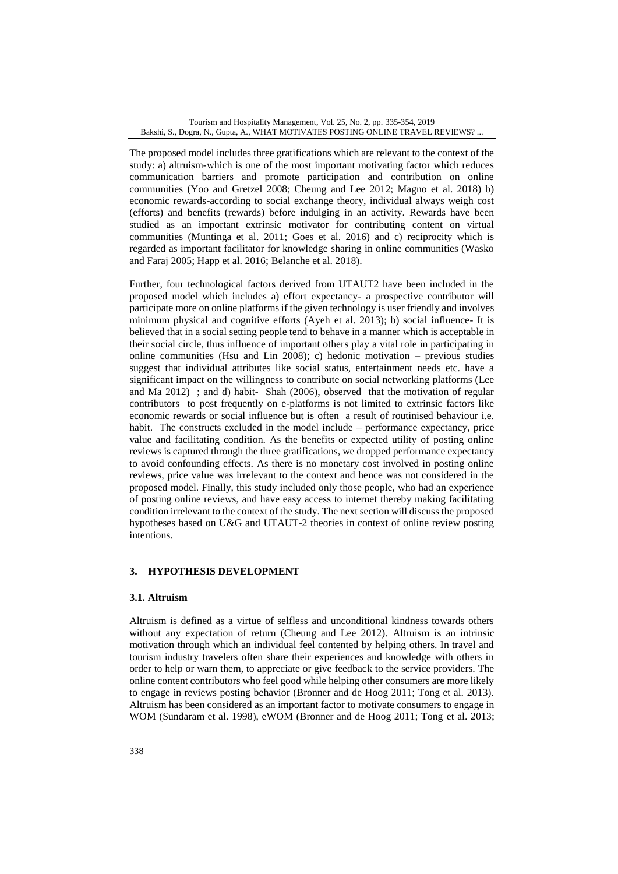The proposed model includes three gratifications which are relevant to the context of the study: a) altruism-which is one of the most important motivating factor which reduces communication barriers and promote participation and contribution on online communities (Yoo and Gretzel 2008; Cheung and Lee 2012; Magno et al. 2018) b) economic rewards-according to social exchange theory, individual always weigh cost (efforts) and benefits (rewards) before indulging in an activity. Rewards have been studied as an important extrinsic motivator for contributing content on virtual communities (Muntinga et al. 2011; Goes et al. 2016) and c) reciprocity which is regarded as important facilitator for knowledge sharing in online communities (Wasko and Faraj 2005; Happ et al. 2016; Belanche et al. 2018).

Further, four technological factors derived from UTAUT2 have been included in the proposed model which includes a) effort expectancy- a prospective contributor will participate more on online platforms if the given technology is user friendly and involves minimum physical and cognitive efforts (Ayeh et al. 2013); b) social influence- It is believed that in a social setting people tend to behave in a manner which is acceptable in their social circle, thus influence of important others play a vital role in participating in online communities (Hsu and Lin 2008); c) hedonic motivation – previous studies suggest that individual attributes like social status, entertainment needs etc. have a significant impact on the willingness to contribute on social networking platforms (Lee and Ma 2012) ; and d) habit- Shah (2006), observed that the motivation of regular contributors to post frequently on e-platforms is not limited to extrinsic factors like economic rewards or social influence but is often a result of routinised behaviour i.e. habit. The constructs excluded in the model include – performance expectancy, price value and facilitating condition. As the benefits or expected utility of posting online reviews is captured through the three gratifications, we dropped performance expectancy to avoid confounding effects. As there is no monetary cost involved in posting online reviews, price value was irrelevant to the context and hence was not considered in the proposed model. Finally, this study included only those people, who had an experience of posting online reviews, and have easy access to internet thereby making facilitating condition irrelevant to the context of the study. The next section will discuss the proposed hypotheses based on U&G and UTAUT-2 theories in context of online review posting intentions.

# **3. HYPOTHESIS DEVELOPMENT**

# **3.1. Altruism**

Altruism is defined as a virtue of selfless and unconditional kindness towards others without any expectation of return (Cheung and Lee 2012). Altruism is an intrinsic motivation through which an individual feel contented by helping others. In travel and tourism industry travelers often share their experiences and knowledge with others in order to help or warn them, to appreciate or give feedback to the service providers. The online content contributors who feel good while helping other consumers are more likely to engage in reviews posting behavior (Bronner and de Hoog 2011; Tong et al. 2013). Altruism has been considered as an important factor to motivate consumers to engage in WOM (Sundaram et al. 1998), eWOM (Bronner and de Hoog 2011; Tong et al. 2013;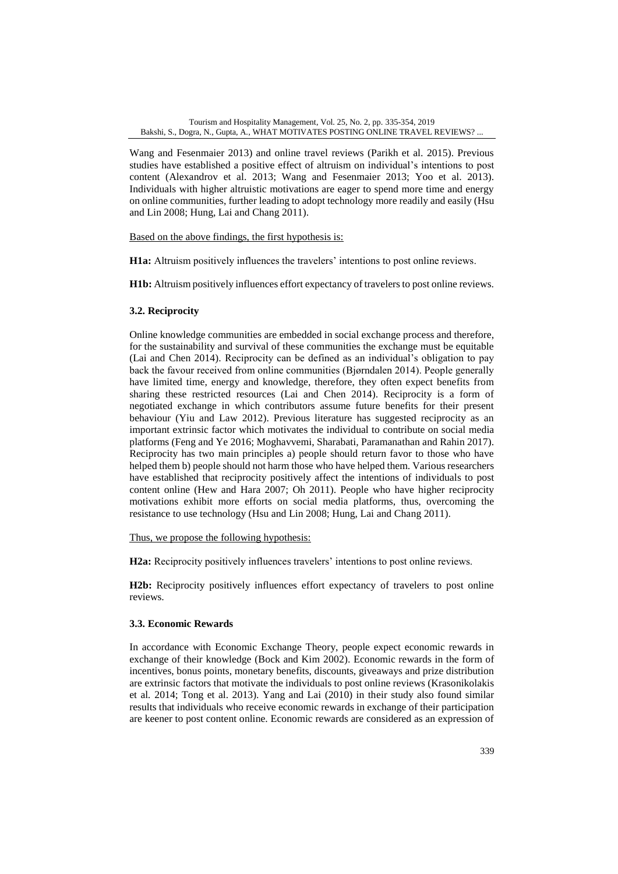Wang and Fesenmaier 2013) and online travel reviews (Parikh et al. 2015). Previous studies have established a positive effect of altruism on individual's intentions to post content (Alexandrov et al. 2013; Wang and Fesenmaier 2013; Yoo et al. 2013). Individuals with higher altruistic motivations are eager to spend more time and energy on online communities, further leading to adopt technology more readily and easily (Hsu and Lin 2008; Hung, Lai and Chang 2011).

Based on the above findings, the first hypothesis is:

**H1a:** Altruism positively influences the travelers' intentions to post online reviews.

**H1b:** Altruism positively influences effort expectancy of travelers to post online reviews.

# **3.2. Reciprocity**

Online knowledge communities are embedded in social exchange process and therefore, for the sustainability and survival of these communities the exchange must be equitable (Lai and Chen 2014). Reciprocity can be defined as an individual's obligation to pay back the favour received from online communities (Bjørndalen 2014). People generally have limited time, energy and knowledge, therefore, they often expect benefits from sharing these restricted resources (Lai and Chen 2014). Reciprocity is a form of negotiated exchange in which contributors assume future benefits for their present behaviour (Yiu and Law 2012). Previous literature has suggested reciprocity as an important extrinsic factor which motivates the individual to contribute on social media platforms (Feng and Ye 2016; Moghavvemi, Sharabati, Paramanathan and Rahin 2017). Reciprocity has two main principles a) people should return favor to those who have helped them b) people should not harm those who have helped them. Various researchers have established that reciprocity positively affect the intentions of individuals to post content online (Hew and Hara 2007; Oh 2011). People who have higher reciprocity motivations exhibit more efforts on social media platforms, thus, overcoming the resistance to use technology (Hsu and Lin 2008; Hung, Lai and Chang 2011).

Thus, we propose the following hypothesis:

**H2a:** Reciprocity positively influences travelers' intentions to post online reviews.

**H2b:** Reciprocity positively influences effort expectancy of travelers to post online reviews.

# **3.3. Economic Rewards**

In accordance with Economic Exchange Theory, people expect economic rewards in exchange of their knowledge (Bock and Kim 2002). Economic rewards in the form of incentives, bonus points, monetary benefits, discounts, giveaways and prize distribution are extrinsic factors that motivate the individuals to post online reviews (Krasonikolakis et al*.* 2014; Tong et al. 2013). Yang and Lai (2010) in their study also found similar results that individuals who receive economic rewards in exchange of their participation are keener to post content online. Economic rewards are considered as an expression of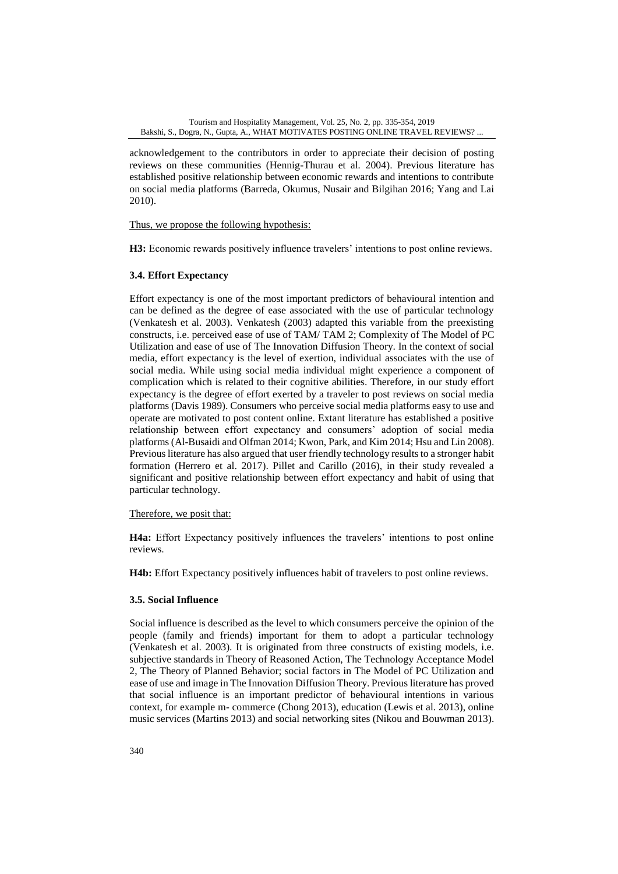acknowledgement to the contributors in order to appreciate their decision of posting reviews on these communities (Hennig-Thurau et al*.* 2004). Previous literature has established positive relationship between economic rewards and intentions to contribute on social media platforms (Barreda, Okumus, Nusair and Bilgihan 2016; Yang and Lai 2010).

Thus, we propose the following hypothesis:

**H3:** Economic rewards positively influence travelers' intentions to post online reviews.

# **3.4. Effort Expectancy**

Effort expectancy is one of the most important predictors of behavioural intention and can be defined as the degree of ease associated with the use of particular technology (Venkatesh et al. 2003). Venkatesh (2003) adapted this variable from the preexisting constructs, i.e. perceived ease of use of TAM/ TAM 2; Complexity of The Model of PC Utilization and ease of use of The Innovation Diffusion Theory. In the context of social media, effort expectancy is the level of exertion, individual associates with the use of social media. While using social media individual might experience a component of complication which is related to their cognitive abilities. Therefore, in our study effort expectancy is the degree of effort exerted by a traveler to post reviews on social media platforms (Davis 1989). Consumers who perceive social media platforms easy to use and operate are motivated to post content online. Extant literature has established a positive relationship between effort expectancy and consumers' adoption of social media platforms (Al-Busaidi and Olfman 2014; Kwon, Park, and Kim 2014; Hsu and Lin 2008). Previous literature has also argued that user friendly technology results to a stronger habit formation (Herrero et al. 2017). Pillet and Carillo (2016), in their study revealed a significant and positive relationship between effort expectancy and habit of using that particular technology.

Therefore, we posit that:

**H4a:** Effort Expectancy positively influences the travelers' intentions to post online reviews.

**H4b:** Effort Expectancy positively influences habit of travelers to post online reviews.

# **3.5. Social Influence**

Social influence is described as the level to which consumers perceive the opinion of the people (family and friends) important for them to adopt a particular technology (Venkatesh et al. 2003). It is originated from three constructs of existing models, i.e. subjective standards in Theory of Reasoned Action, The Technology Acceptance Model 2, The Theory of Planned Behavior; social factors in The Model of PC Utilization and ease of use and image in The Innovation Diffusion Theory. Previous literature has proved that social influence is an important predictor of behavioural intentions in various context, for example m- commerce (Chong 2013), education (Lewis et al. 2013), online music services (Martins 2013) and social networking sites (Nikou and Bouwman 2013).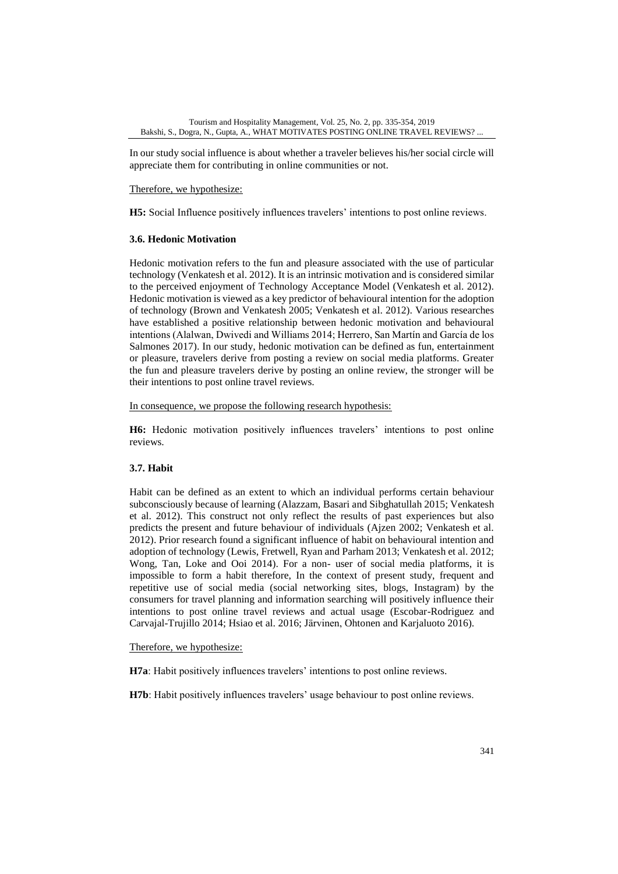In our study social influence is about whether a traveler believes his/her social circle will appreciate them for contributing in online communities or not.

Therefore, we hypothesize:

**H5:** Social Influence positively influences travelers' intentions to post online reviews.

# **3.6. Hedonic Motivation**

Hedonic motivation refers to the fun and pleasure associated with the use of particular technology (Venkatesh et al. 2012). It is an intrinsic motivation and is considered similar to the perceived enjoyment of Technology Acceptance Model (Venkatesh et al. 2012). Hedonic motivation is viewed as a key predictor of behavioural intention for the adoption of technology (Brown and Venkatesh 2005; Venkatesh et al. 2012). Various researches have established a positive relationship between hedonic motivation and behavioural intentions (Alalwan, Dwivedi and Williams 2014; Herrero, San Martín and García de los Salmones 2017). In our study, hedonic motivation can be defined as fun, entertainment or pleasure, travelers derive from posting a review on social media platforms. Greater the fun and pleasure travelers derive by posting an online review, the stronger will be their intentions to post online travel reviews.

In consequence, we propose the following research hypothesis:

**H6:** Hedonic motivation positively influences travelers' intentions to post online reviews.

# **3.7. Habit**

Habit can be defined as an extent to which an individual performs certain behaviour subconsciously because of learning (Alazzam, Basari and Sibghatullah 2015; Venkatesh et al. 2012). This construct not only reflect the results of past experiences but also predicts the present and future behaviour of individuals (Ajzen 2002; Venkatesh et al. 2012). Prior research found a significant influence of habit on behavioural intention and adoption of technology (Lewis, Fretwell, Ryan and Parham 2013; Venkatesh et al. 2012; Wong, Tan, Loke and Ooi 2014). For a non- user of social media platforms, it is impossible to form a habit therefore, In the context of present study, frequent and repetitive use of social media (social networking sites, blogs, Instagram) by the consumers for travel planning and information searching will positively influence their intentions to post online travel reviews and actual usage (Escobar-Rodriguez and Carvajal-Trujillo 2014; Hsiao et al. 2016; Järvinen, Ohtonen and Karjaluoto 2016).

Therefore, we hypothesize:

**H7a**: Habit positively influences travelers' intentions to post online reviews.

**H7b**: Habit positively influences travelers' usage behaviour to post online reviews.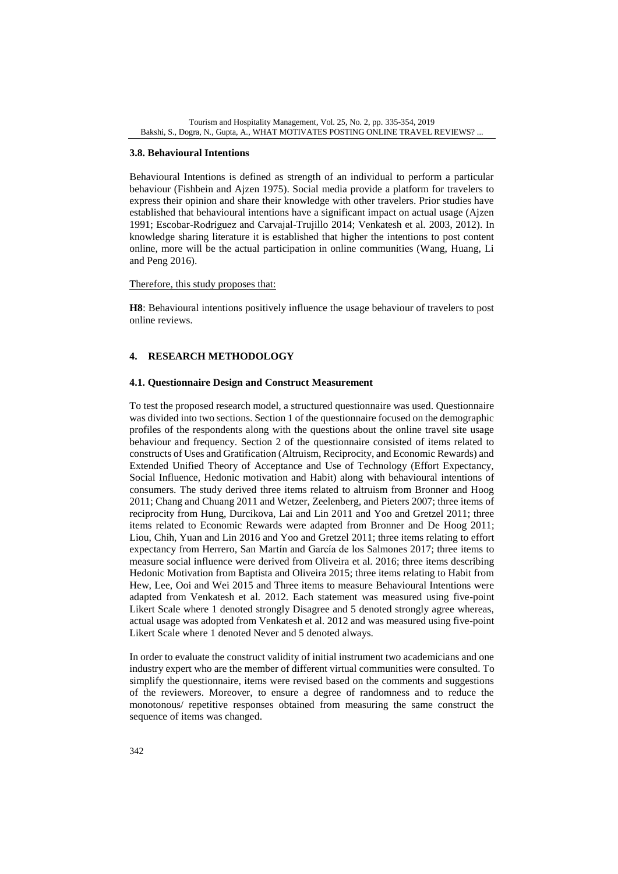### **3.8. Behavioural Intentions**

Behavioural Intentions is defined as strength of an individual to perform a particular behaviour (Fishbein and Ajzen 1975). Social media provide a platform for travelers to express their opinion and share their knowledge with other travelers. Prior studies have established that behavioural intentions have a significant impact on actual usage (Ajzen 1991; Escobar-Rodríguez and Carvajal-Trujillo 2014; Venkatesh et al. 2003, 2012). In knowledge sharing literature it is established that higher the intentions to post content online, more will be the actual participation in online communities (Wang, Huang, Li and Peng 2016).

#### Therefore, this study proposes that:

**H8**: Behavioural intentions positively influence the usage behaviour of travelers to post online reviews.

### **4. RESEARCH METHODOLOGY**

### **4.1. Questionnaire Design and Construct Measurement**

To test the proposed research model, a structured questionnaire was used. Questionnaire was divided into two sections. Section 1 of the questionnaire focused on the demographic profiles of the respondents along with the questions about the online travel site usage behaviour and frequency. Section 2 of the questionnaire consisted of items related to constructs of Uses and Gratification (Altruism, Reciprocity, and Economic Rewards) and Extended Unified Theory of Acceptance and Use of Technology (Effort Expectancy, Social Influence, Hedonic motivation and Habit) along with behavioural intentions of consumers. The study derived three items related to altruism from Bronner and Hoog 2011; Chang and Chuang 2011 and Wetzer, Zeelenberg, and Pieters 2007; three items of reciprocity from Hung, Durcikova, Lai and Lin 2011 and Yoo and Gretzel 2011; three items related to Economic Rewards were adapted from Bronner and De Hoog 2011; Liou, Chih, Yuan and Lin 2016 and Yoo and Gretzel 2011; three items relating to effort expectancy from Herrero, San Martín and García de los Salmones 2017; three items to measure social influence were derived from Oliveira et al. 2016; three items describing Hedonic Motivation from Baptista and Oliveira 2015; three items relating to Habit from Hew, Lee, Ooi and Wei 2015 and Three items to measure Behavioural Intentions were adapted from Venkatesh et al*.* 2012. Each statement was measured using five-point Likert Scale where 1 denoted strongly Disagree and 5 denoted strongly agree whereas, actual usage was adopted from Venkatesh et al*.* 2012 and was measured using five-point Likert Scale where 1 denoted Never and 5 denoted always.

In order to evaluate the construct validity of initial instrument two academicians and one industry expert who are the member of different virtual communities were consulted. To simplify the questionnaire, items were revised based on the comments and suggestions of the reviewers. Moreover, to ensure a degree of randomness and to reduce the monotonous/ repetitive responses obtained from measuring the same construct the sequence of items was changed.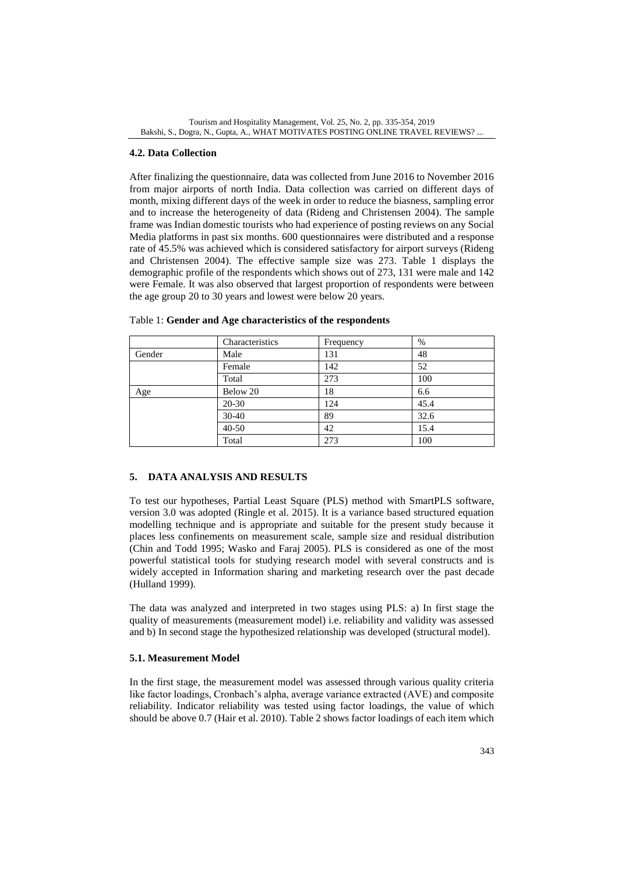### **4.2. Data Collection**

After finalizing the questionnaire, data was collected from June 2016 to November 2016 from major airports of north India. Data collection was carried on different days of month, mixing different days of the week in order to reduce the biasness, sampling error and to increase the heterogeneity of data (Rideng and Christensen 2004). The sample frame was Indian domestic tourists who had experience of posting reviews on any Social Media platforms in past six months. 600 questionnaires were distributed and a response rate of 45.5% was achieved which is considered satisfactory for airport surveys (Rideng and Christensen 2004). The effective sample size was 273. Table 1 displays the demographic profile of the respondents which shows out of 273, 131 were male and 142 were Female. It was also observed that largest proportion of respondents were between the age group 20 to 30 years and lowest were below 20 years.

|        | Characteristics | Frequency | %    |  |
|--------|-----------------|-----------|------|--|
| Gender | Male            | 131       | 48   |  |
|        | Female          | 142       | 52   |  |
|        | Total           | 273       | 100  |  |
| Age    | Below 20        | 18        | 6.6  |  |
|        | $20 - 30$       | 124       | 45.4 |  |
|        | $30 - 40$       | 89        | 32.6 |  |
|        | 40-50           | 42        | 15.4 |  |
|        | Total           | 273       | 100  |  |

Table 1: **Gender and Age characteristics of the respondents**

### **5. DATA ANALYSIS AND RESULTS**

To test our hypotheses, Partial Least Square (PLS) method with SmartPLS software, version 3.0 was adopted (Ringle et al. 2015). It is a variance based structured equation modelling technique and is appropriate and suitable for the present study because it places less confinements on measurement scale, sample size and residual distribution (Chin and Todd 1995; Wasko and Faraj 2005). PLS is considered as one of the most powerful statistical tools for studying research model with several constructs and is widely accepted in Information sharing and marketing research over the past decade (Hulland 1999).

The data was analyzed and interpreted in two stages using PLS: a) In first stage the quality of measurements (measurement model) i.e. reliability and validity was assessed and b) In second stage the hypothesized relationship was developed (structural model).

### **5.1. Measurement Model**

In the first stage, the measurement model was assessed through various quality criteria like factor loadings, Cronbach's alpha, average variance extracted (AVE) and composite reliability. Indicator reliability was tested using factor loadings, the value of which should be above 0.7 (Hair et al. 2010). Table 2 shows factor loadings of each item which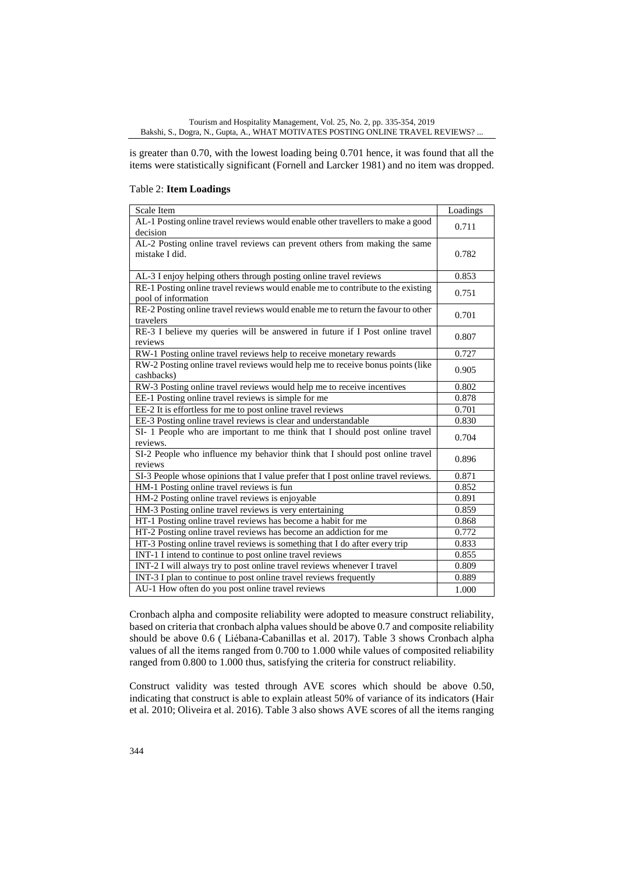is greater than 0.70, with the lowest loading being 0.701 hence, it was found that all the items were statistically significant (Fornell and Larcker 1981) and no item was dropped.

### Table 2: **Item Loadings**

| Scale Item                                                                        | Loadings |  |  |  |
|-----------------------------------------------------------------------------------|----------|--|--|--|
| AL-1 Posting online travel reviews would enable other travellers to make a good   | 0.711    |  |  |  |
| decision                                                                          |          |  |  |  |
| AL-2 Posting online travel reviews can prevent others from making the same        |          |  |  |  |
| mistake I did.                                                                    |          |  |  |  |
|                                                                                   |          |  |  |  |
| AL-3 I enjoy helping others through posting online travel reviews                 | 0.853    |  |  |  |
| RE-1 Posting online travel reviews would enable me to contribute to the existing  | 0.751    |  |  |  |
| pool of information                                                               |          |  |  |  |
| RE-2 Posting online travel reviews would enable me to return the favour to other  | 0.701    |  |  |  |
| travelers                                                                         |          |  |  |  |
| RE-3 I believe my queries will be answered in future if I Post online travel      | 0.807    |  |  |  |
| reviews                                                                           |          |  |  |  |
| RW-1 Posting online travel reviews help to receive monetary rewards               | 0.727    |  |  |  |
| RW-2 Posting online travel reviews would help me to receive bonus points (like    | 0.905    |  |  |  |
| cashbacks)                                                                        |          |  |  |  |
| RW-3 Posting online travel reviews would help me to receive incentives            |          |  |  |  |
| EE-1 Posting online travel reviews is simple for me                               |          |  |  |  |
| EE-2 It is effortless for me to post online travel reviews                        | 0.701    |  |  |  |
| EE-3 Posting online travel reviews is clear and understandable                    | 0.830    |  |  |  |
| SI- 1 People who are important to me think that I should post online travel       |          |  |  |  |
| reviews.                                                                          | 0.704    |  |  |  |
| SI-2 People who influence my behavior think that I should post online travel      | 0.896    |  |  |  |
| reviews                                                                           |          |  |  |  |
| SI-3 People whose opinions that I value prefer that I post online travel reviews. | 0.871    |  |  |  |
| HM-1 Posting online travel reviews is fun                                         | 0.852    |  |  |  |
| HM-2 Posting online travel reviews is enjoyable                                   | 0.891    |  |  |  |
| HM-3 Posting online travel reviews is very entertaining                           | 0.859    |  |  |  |
| HT-1 Posting online travel reviews has become a habit for me                      | 0.868    |  |  |  |
| HT-2 Posting online travel reviews has become an addiction for me                 | 0.772    |  |  |  |
| HT-3 Posting online travel reviews is something that I do after every trip        | 0.833    |  |  |  |
| INT-1 I intend to continue to post online travel reviews                          | 0.855    |  |  |  |
| INT-2 I will always try to post online travel reviews whenever I travel           | 0.809    |  |  |  |
| INT-3 I plan to continue to post online travel reviews frequently                 | 0.889    |  |  |  |
| AU-1 How often do you post online travel reviews                                  | 1.000    |  |  |  |

Cronbach alpha and composite reliability were adopted to measure construct reliability, based on criteria that cronbach alpha values should be above 0.7 and composite reliability should be above 0.6 ( Liébana-Cabanillas et al. 2017). Table 3 shows Cronbach alpha values of all the items ranged from 0.700 to 1.000 while values of composited reliability ranged from 0.800 to 1.000 thus, satisfying the criteria for construct reliability.

Construct validity was tested through AVE scores which should be above 0.50, indicating that construct is able to explain atleast 50% of variance of its indicators (Hair et al*.* 2010; Oliveira et al. 2016). Table 3 also shows AVE scores of all the items ranging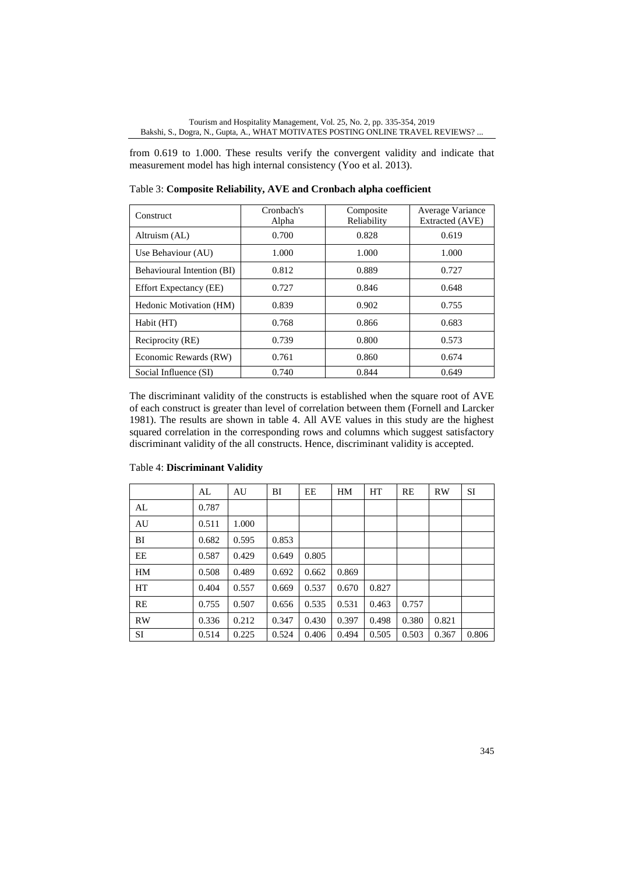from 0.619 to 1.000. These results verify the convergent validity and indicate that measurement model has high internal consistency (Yoo et al*.* 2013).

| Construct                     | Cronbach's<br>Alpha | Composite<br>Reliability | Average Variance<br>Extracted (AVE) |  |
|-------------------------------|---------------------|--------------------------|-------------------------------------|--|
| Altruism (AL)                 | 0.700               | 0.828                    | 0.619                               |  |
| Use Behaviour (AU)            | 1.000               | 1.000                    | 1.000                               |  |
| Behavioural Intention (BI)    | 0.812               | 0.889                    | 0.727                               |  |
| <b>Effort Expectancy (EE)</b> | 0.727               | 0.846                    | 0.648                               |  |
| Hedonic Motivation (HM)       | 0.839               | 0.902                    | 0.755                               |  |
| Habit (HT)                    | 0.768               | 0.866                    | 0.683                               |  |
| Reciprocity (RE)              | 0.739               | 0.800                    | 0.573                               |  |
| Economic Rewards (RW)         | 0.761               | 0.860                    | 0.674                               |  |
| Social Influence (SI)         | 0.740               | 0.844                    | 0.649                               |  |

Table 3: **Composite Reliability, AVE and Cronbach alpha coefficient**

The discriminant validity of the constructs is established when the square root of AVE of each construct is greater than level of correlation between them (Fornell and Larcker 1981). The results are shown in table 4. All AVE values in this study are the highest squared correlation in the corresponding rows and columns which suggest satisfactory discriminant validity of the all constructs. Hence, discriminant validity is accepted.

|    | AL    | AU    | BI    | EE    | HM    | HT    | RE    | <b>RW</b> | SI    |
|----|-------|-------|-------|-------|-------|-------|-------|-----------|-------|
| AL | 0.787 |       |       |       |       |       |       |           |       |
| AU | 0.511 | 1.000 |       |       |       |       |       |           |       |
| BI | 0.682 | 0.595 | 0.853 |       |       |       |       |           |       |
| EE | 0.587 | 0.429 | 0.649 | 0.805 |       |       |       |           |       |
| HM | 0.508 | 0.489 | 0.692 | 0.662 | 0.869 |       |       |           |       |
| HT | 0.404 | 0.557 | 0.669 | 0.537 | 0.670 | 0.827 |       |           |       |
| RE | 0.755 | 0.507 | 0.656 | 0.535 | 0.531 | 0.463 | 0.757 |           |       |
| RW | 0.336 | 0.212 | 0.347 | 0.430 | 0.397 | 0.498 | 0.380 | 0.821     |       |
| SI | 0.514 | 0.225 | 0.524 | 0.406 | 0.494 | 0.505 | 0.503 | 0.367     | 0.806 |

### Table 4: **Discriminant Validity**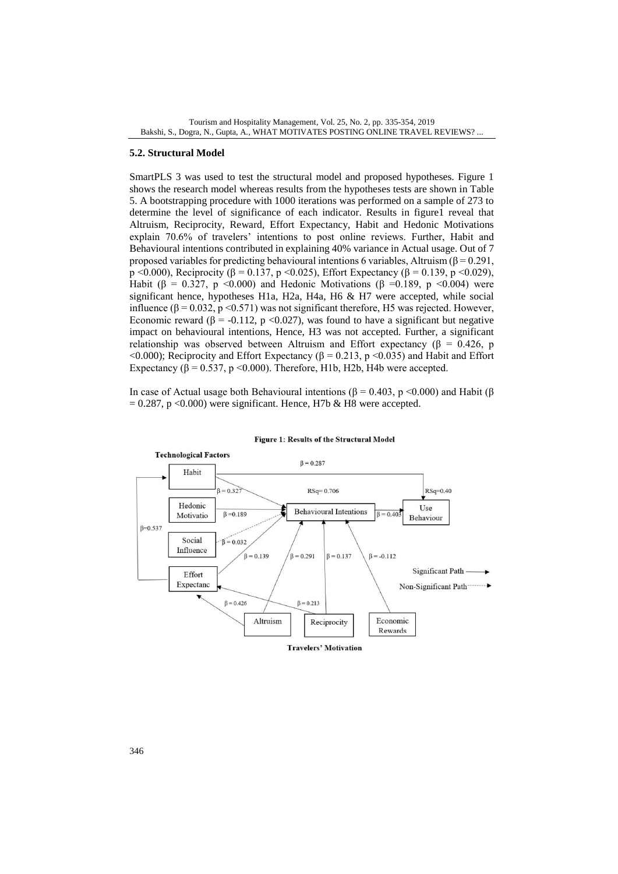### **5.2. Structural Model**

SmartPLS 3 was used to test the structural model and proposed hypotheses. Figure 1 shows the research model whereas results from the hypotheses tests are shown in Table 5. A bootstrapping procedure with 1000 iterations was performed on a sample of 273 to determine the level of significance of each indicator. Results in figure1 reveal that Altruism, Reciprocity, Reward, Effort Expectancy, Habit and Hedonic Motivations explain 70.6% of travelers' intentions to post online reviews. Further, Habit and Behavioural intentions contributed in explaining 40% variance in Actual usage. Out of 7 proposed variables for predicting behavioural intentions 6 variables, Altruism ( $β = 0.291$ , p <0.000), Reciprocity (β = 0.137, p <0.025), Effort Expectancy (β = 0.139, p <0.029), Habit (β = 0.327, p <0.000) and Hedonic Motivations (β = 0.189, p <0.004) were significant hence, hypotheses H1a, H2a, H4a, H6 & H7 were accepted, while social influence (β = 0.032, p < 0.571) was not significant therefore, H5 was rejected. However, Economic reward ( $\beta$  = -0.112, p <0.027), was found to have a significant but negative impact on behavioural intentions, Hence, H3 was not accepted. Further, a significant relationship was observed between Altruism and Effort expectancy ( $\beta$  = 0.426, p <0.000); Reciprocity and Effort Expectancy ( $\beta$  = 0.213, p <0.035) and Habit and Effort Expectancy ( $\beta$  = 0.537, p < 0.000). Therefore, H1b, H2b, H4b were accepted.

In case of Actual usage both Behavioural intentions ( $β = 0.403$ ,  $p < 0.000$ ) and Habit ( $β$  $= 0.287$ , p <0.000) were significant. Hence, H7b & H8 were accepted.



Figure 1: Results of the Structural Model

**Travelers' Motivation**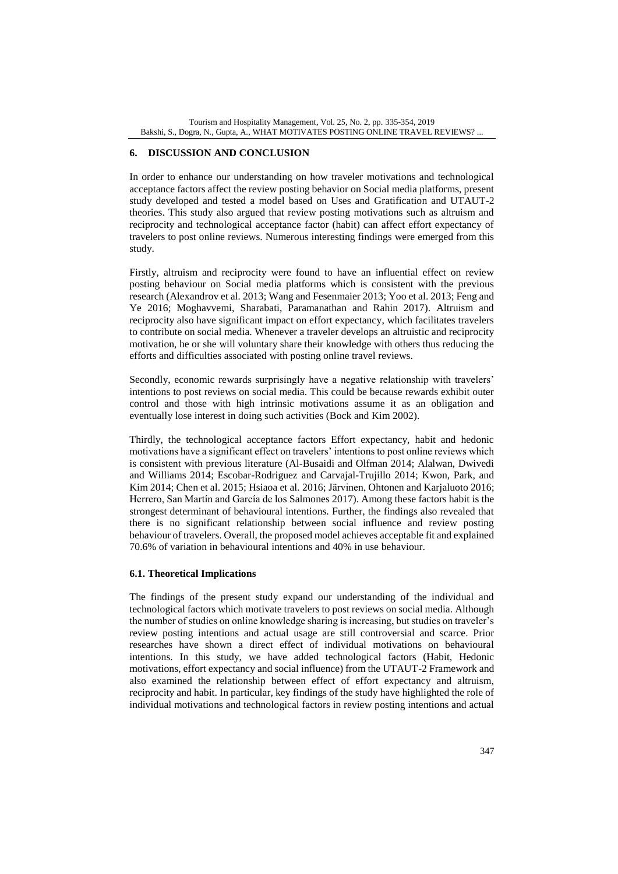### **6. DISCUSSION AND CONCLUSION**

In order to enhance our understanding on how traveler motivations and technological acceptance factors affect the review posting behavior on Social media platforms, present study developed and tested a model based on Uses and Gratification and UTAUT-2 theories. This study also argued that review posting motivations such as altruism and reciprocity and technological acceptance factor (habit) can affect effort expectancy of travelers to post online reviews. Numerous interesting findings were emerged from this study.

Firstly, altruism and reciprocity were found to have an influential effect on review posting behaviour on Social media platforms which is consistent with the previous research (Alexandrov et al*.* 2013; Wang and Fesenmaier 2013; Yoo et al. 2013; Feng and Ye 2016; Moghavvemi, Sharabati, Paramanathan and Rahin 2017). Altruism and reciprocity also have significant impact on effort expectancy, which facilitates travelers to contribute on social media. Whenever a traveler develops an altruistic and reciprocity motivation, he or she will voluntary share their knowledge with others thus reducing the efforts and difficulties associated with posting online travel reviews.

Secondly, economic rewards surprisingly have a negative relationship with travelers' intentions to post reviews on social media. This could be because rewards exhibit outer control and those with high intrinsic motivations assume it as an obligation and eventually lose interest in doing such activities (Bock and Kim 2002).

Thirdly, the technological acceptance factors Effort expectancy, habit and hedonic motivations have a significant effect on travelers' intentions to post online reviews which is consistent with previous literature (Al-Busaidi and Olfman 2014; Alalwan, Dwivedi and Williams 2014; Escobar-Rodriguez and Carvajal-Trujillo 2014; Kwon, Park, and Kim 2014; Chen et al. 2015; Hsiaoa et al*.* 2016; Järvinen, Ohtonen and Karjaluoto 2016; Herrero, San Martín and García de los Salmones 2017). Among these factors habit is the strongest determinant of behavioural intentions. Further, the findings also revealed that there is no significant relationship between social influence and review posting behaviour of travelers. Overall, the proposed model achieves acceptable fit and explained 70.6% of variation in behavioural intentions and 40% in use behaviour.

### **6.1. Theoretical Implications**

The findings of the present study expand our understanding of the individual and technological factors which motivate travelers to post reviews on social media. Although the number of studies on online knowledge sharing is increasing, but studies on traveler's review posting intentions and actual usage are still controversial and scarce. Prior researches have shown a direct effect of individual motivations on behavioural intentions. In this study, we have added technological factors (Habit, Hedonic motivations, effort expectancy and social influence) from the UTAUT-2 Framework and also examined the relationship between effect of effort expectancy and altruism, reciprocity and habit. In particular, key findings of the study have highlighted the role of individual motivations and technological factors in review posting intentions and actual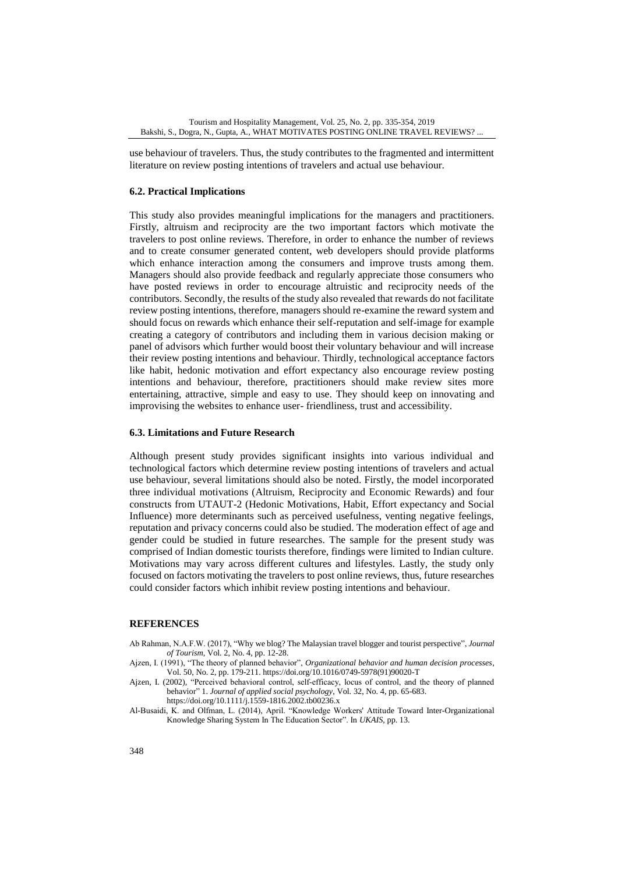use behaviour of travelers. Thus, the study contributes to the fragmented and intermittent literature on review posting intentions of travelers and actual use behaviour.

#### **6.2. Practical Implications**

This study also provides meaningful implications for the managers and practitioners. Firstly, altruism and reciprocity are the two important factors which motivate the travelers to post online reviews. Therefore, in order to enhance the number of reviews and to create consumer generated content, web developers should provide platforms which enhance interaction among the consumers and improve trusts among them. Managers should also provide feedback and regularly appreciate those consumers who have posted reviews in order to encourage altruistic and reciprocity needs of the contributors. Secondly, the results of the study also revealed that rewards do not facilitate review posting intentions, therefore, managers should re-examine the reward system and should focus on rewards which enhance their self-reputation and self-image for example creating a category of contributors and including them in various decision making or panel of advisors which further would boost their voluntary behaviour and will increase their review posting intentions and behaviour. Thirdly, technological acceptance factors like habit, hedonic motivation and effort expectancy also encourage review posting intentions and behaviour, therefore, practitioners should make review sites more entertaining, attractive, simple and easy to use. They should keep on innovating and improvising the websites to enhance user- friendliness, trust and accessibility.

#### **6.3. Limitations and Future Research**

Although present study provides significant insights into various individual and technological factors which determine review posting intentions of travelers and actual use behaviour, several limitations should also be noted. Firstly, the model incorporated three individual motivations (Altruism, Reciprocity and Economic Rewards) and four constructs from UTAUT-2 (Hedonic Motivations, Habit, Effort expectancy and Social Influence) more determinants such as perceived usefulness, venting negative feelings, reputation and privacy concerns could also be studied. The moderation effect of age and gender could be studied in future researches. The sample for the present study was comprised of Indian domestic tourists therefore, findings were limited to Indian culture. Motivations may vary across different cultures and lifestyles. Lastly, the study only focused on factors motivating the travelers to post online reviews, thus, future researches could consider factors which inhibit review posting intentions and behaviour.

#### **REFERENCES**

- Ab Rahman, N.A.F.W. (2017), "Why we blog? The Malaysian travel blogger and tourist perspective", *Journal of Tourism*, Vol. 2, No. 4, pp. 12-28.
- Ajzen, I. (1991), "The theory of planned behavior", *Organizational behavior and human decision processes*, Vol. 50, No. 2, pp. 179-211[. https://doi.org/10.1016/0749-5978\(91\)90020-T](https://doi.org/10.1016/0749-5978(91)90020-T)
- Ajzen, I. (2002), "Perceived behavioral control, self‐efficacy, locus of control, and the theory of planned behavior" 1. *Journal of applied social psychology*, Vol. 32, No. 4, pp. 65-683. https://doi.org/10.1111/j.1559-1816.2002.tb00236.x
- Al-Busaidi, K. and Olfman, L. (2014), April. "Knowledge Workers' Attitude Toward Inter-Organizational Knowledge Sharing System In The Education Sector". In *UKAIS,* pp. 13.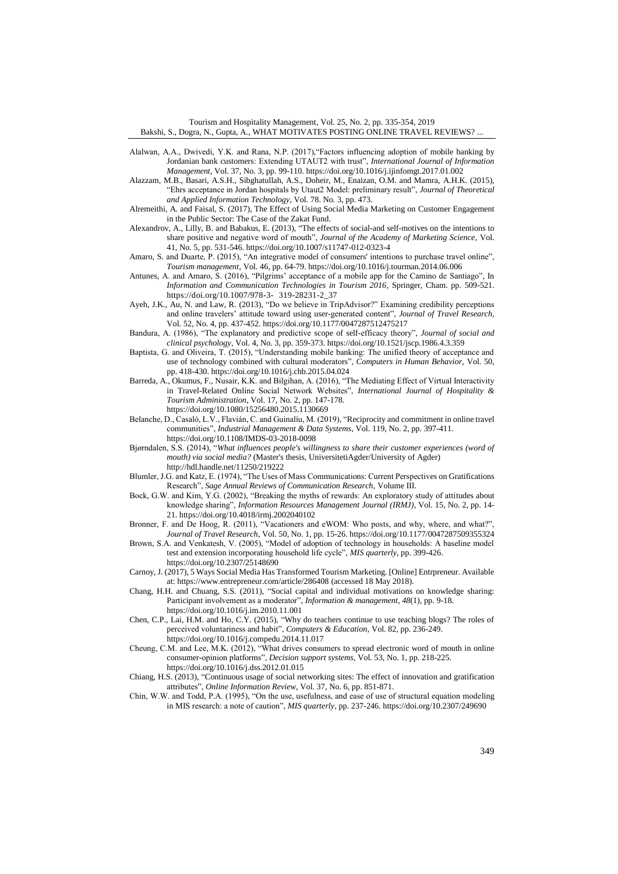- Alalwan, A.A., Dwivedi, Y.K. and Rana, N.P. (2017),"Factors influencing adoption of mobile banking by Jordanian bank customers: Extending UTAUT2 with trust", *International Journal of Information Management*, Vol. 37, No. 3, pp. 99-110[. https://doi.org/10.1016/j.ijinfomgt.2017.01.002](https://doi.org/10.1016/j.ijinfomgt.2017.01.002)
- Alazzam, M.B., Basari, A.S.H., Sibghatullah, A.S., Doheir, M., Enaizan, O.M. and Mamra, A.H.K. (2015), "Ehrs acceptance in Jordan hospitals by Utaut2 Model: preliminary result", *Journal of Theoretical and Applied Information Technology*, Vol. 78. No*.* 3, pp. 473.
- Alremeithi, A. and Faisal, S. (2017), The Effect of Using Social Media Marketing on Customer Engagement in the Public Sector: The Case of the Zakat Fund.
- Alexandrov, A., Lilly, B. and Babakus, E. (2013), "The effects of social-and self-motives on the intentions to share positive and negative word of mouth", *Journal of the Academy of Marketing Science*, Vol. 41, No. 5, pp. 531-546. https://doi.org/10.1007/s11747-012-0323-4
- Amaro, S. and Duarte, P. (2015), "An integrative model of consumers' intentions to purchase travel online", *Tourism management*, Vol. 46, pp. 64-79[. https://doi.org/10.1016/j.tourman.2014.06.006](https://doi.org/10.1016/j.tourman.2014.06.006)
- Antunes, A. and Amaro, S. (2016), "Pilgrims' acceptance of a mobile app for the Camino de Santiago", In *Information and Communication Technologies in Tourism 2016,* Springer, Cham. pp. 509-521. [https://doi.org/10.1007/978-3-](https://doi.org/10.1007/978-3-%09319-28231-2_37) 319-28231-2\_37
- Ayeh, J.K., Au, N. and Law, R. (2013), "Do we believe in TripAdvisor?" Examining credibility perceptions and online travelers' attitude toward using user-generated content", *Journal of Travel Research*, Vol. 52, No. 4, pp. 437-452. [https://doi.org/10.1177/0047287512475217](https://doi.org/10.1177%2F0047287512475217)
- Bandura, A. (1986), "The explanatory and predictive scope of self-efficacy theory", *Journal of social and clinical psychology*, Vol. 4, No. 3, pp. 359-373[. https://doi.org/10.1521/jscp.1986.4.3.359](https://doi.org/10.1521/jscp.1986.4.3.359)
- Baptista, G. and Oliveira, T. (2015), "Understanding mobile banking: The unified theory of acceptance and use of technology combined with cultural moderators", *Computers in Human Behavior*, Vol. 50, pp. 418-430[. https://doi.org/10.1016/j.chb.2015.04.024](https://doi.org/10.1016/j.chb.2015.04.024)
- Barreda, A., Okumus, F., Nusair, K.K. and Bilgihan, A. (2016), "The Mediating Effect of Virtual Interactivity in Travel-Related Online Social Network Websites", *International Journal of Hospitality & Tourism Administration*, Vol. 17, No. 2, pp. 147-178.
	- <https://doi.org/10.1080/15256480.2015.1130669>
- Belanche, D., Casaló, L.V., Flavián, C. and Guinalíu, M. (2019), "Reciprocity and commitment in online travel communities", *Industrial Management & Data Systems*, Vol. 119, No. 2, pp. 397-411. https://doi.org/10.1108/IMDS-03-2018-0098
- Bjørndalen, S.S. (2014), "*What influences people's willingness to share their customer experiences (word of mouth) via social media?* (Master's thesis, UniversitetiAgder/University of Agder) <http://hdl.handle.net/11250/219222>
- Blumler, J.G. and Katz, E. (1974), "The Uses of Mass Communications: Current Perspectives on Gratifications Research", *Sage Annual Reviews of Communication Research*, Volume III.
- Bock, G.W. and Kim, Y.G. (2002), "Breaking the myths of rewards: An exploratory study of attitudes about knowledge sharing", *Information Resources Management Journal (IRMJ)*, Vol. 15, No. 2, pp. 14- 21[. https://doi.org/10.4018/irmj.2002040102](https://doi.org/10.4018/irmj.2002040102)
- Bronner, F. and De Hoog, R. (2011), "Vacationers and eWOM: Who posts, and why, where, and what?", *Journal of Travel Research*, Vol. 50, No. 1, pp. 15-26[. https://doi.org/10.1177/0047287509355324](https://doi.org/10.1177%2F0047287509355324)
- Brown, S.A. and Venkatesh, V. (2005), "Model of adoption of technology in households: A baseline model test and extension incorporating household life cycle", *MIS quarterly*, pp. 399-426. https://doi.org/10.2307/25148690
- Carnoy, J. (2017), 5 Ways Social Media Has Transformed Tourism Marketing. [Online] Entrpreneur. Available at[: https://www.entrepreneur.com/article/286408](https://www.entrepreneur.com/article/286408) (accessed 18 May 2018).
- Chang, H.H. and Chuang, S.S. (2011), "Social capital and individual motivations on knowledge sharing: Participant involvement as a moderator", *Information & management*, *48*(1), pp. 9-18. <https://doi.org/10.1016/j.im.2010.11.001>
- Chen, C.P., Lai, H.M. and Ho, C.Y. (2015), "Why do teachers continue to use teaching blogs? The roles of perceived voluntariness and habit", *Computers & Education*, Vol. 82, pp. 236-249. <https://doi.org/10.1016/j.compedu.2014.11.017>
- Cheung, C.M. and Lee, M.K. (2012), "What drives consumers to spread electronic word of mouth in online consumer-opinion platforms", *Decision support systems*, Vol. 53, No. 1, pp. 218-225. <https://doi.org/10.1016/j.dss.2012.01.015>
- Chiang, H.S. (2013), "Continuous usage of social networking sites: The effect of innovation and gratification attributes", *Online Information Review*, Vol. 37, No. 6, pp. 851-871.
- Chin, W.W. and Todd, P.A. (1995), "On the use, usefulness, and ease of use of structural equation modeling in MIS research: a note of caution", *MIS quarterly*, pp. 237-246. https://doi.org/10.2307/249690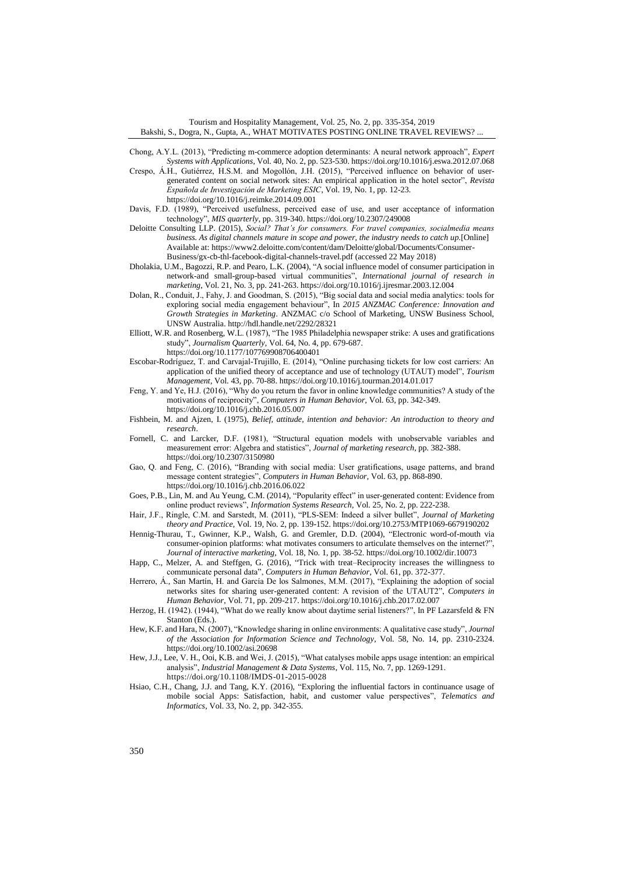- Chong, A.Y.L. (2013), "Predicting m-commerce adoption determinants: A neural network approach", *Expert Systems with Applications*, Vol. 40, No. 2, pp. 523-530[. https://doi.org/10.1016/j.eswa.2012.07.068](https://doi.org/10.1016/j.eswa.2012.07.068)
- Crespo, Á.H., Gutiérrez, H.S.M. and Mogollón, J.H. (2015), "Perceived influence on behavior of usergenerated content on social network sites: An empirical application in the hotel sector", *Revista Española de Investigación de Marketing ESIC*, Vol. 19, No. 1, pp. 12-23. <https://doi.org/10.1016/j.reimke.2014.09.001>
- Davis, F.D. (1989), "Perceived usefulness, perceived ease of use, and user acceptance of information technology", *MIS quarterly*, pp. 319-340[. https://doi.org/10.2307/249008](https://doi.org/10.2307/249008)
- Deloitte Consulting LLP. (2015), *Social? That's for consumers. For travel companies, socialmedia means business. As digital channels mature in scope and power, the industry needs to catch up.*[Online] Available at: [https://www2.deloitte.com/content/dam/Deloitte/global/Documents/Consumer-](https://www2.deloitte.com/content/dam/Deloitte/global/Documents/Consumer-Business/gx-cb-thl-facebook-digital-channels-travel.pdf)[Business/gx-cb-thl-facebook-digital-channels-travel.pdf](https://www2.deloitte.com/content/dam/Deloitte/global/Documents/Consumer-Business/gx-cb-thl-facebook-digital-channels-travel.pdf) (accessed 22 May 2018)
- Dholakia, U.M., Bagozzi, R.P. and Pearo, L.K. (2004), "A social influence model of consumer participation in network-and small-group-based virtual communities", *International journal of research in marketing*, Vol. 21, No. 3, pp. 241-263. https://doi.org/10.1016/j.ijresmar.2003.12.004
- Dolan, R., Conduit, J., Fahy, J. and Goodman, S. (2015), "Big social data and social media analytics: tools for exploring social media engagement behaviour", In *2015 ANZMAC Conference: Innovation and Growth Strategies in Marketing*. ANZMAC c/o School of Marketing, UNSW Business School, UNSW Australia[. http://hdl.handle.net/2292/28321](http://hdl.handle.net/2292/28321)
- Elliott, W.R. and Rosenberg, W.L. (1987), "The 1985 Philadelphia newspaper strike: A uses and gratifications study", *Journalism Quarterly*, Vol. 64, No. 4, pp. 679-687.
	- [https://doi.org/10.1177/107769908706400401](https://doi.org/10.1177%2F107769908706400401)
- Escobar-Rodríguez, T. and Carvajal-Trujillo, E. (2014), "Online purchasing tickets for low cost carriers: An application of the unified theory of acceptance and use of technology (UTAUT) model", *Tourism Management*, Vol. 43, pp. 70-88[. https://doi.org/10.1016/j.tourman.2014.01.017](https://doi.org/10.1016/j.tourman.2014.01.017)
- Feng, Y. and Ye, H.J. (2016), "Why do you return the favor in online knowledge communities? A study of the motivations of reciprocity", *Computers in Human Behavior*, Vol. 63, pp. 342-349. <https://doi.org/10.1016/j.chb.2016.05.007>
- Fishbein, M. and Ajzen, I. (1975), *Belief, attitude, intention and behavior: An introduction to theory and research*.
- Fornell, C. and Larcker, D.F. (1981), "Structural equation models with unobservable variables and measurement error: Algebra and statistics", *Journal of marketing research*, pp. 382-388. <https://doi.org/10.2307/3150980>
- Gao, Q. and Feng, C. (2016), "Branding with social media: User gratifications, usage patterns, and brand message content strategies", *Computers in Human Behavior*, Vol. 63, pp. 868-890. <https://doi.org/10.1016/j.chb.2016.06.022>
- Goes, P.B., Lin, M. and Au Yeung, C.M. (2014), "Popularity effect" in user-generated content: Evidence from online product reviews", *Information Systems Research*, Vol. 25, No. 2, pp. 222-238.
- Hair, J.F., Ringle, C.M. and Sarstedt, M. (2011), "PLS-SEM: Indeed a silver bullet", *Journal of Marketing theory and Practice*, Vol. 19, No. 2, pp. 139-152[. https://doi.org/10.2753/MTP1069-6679190202](https://doi.org/10.2753/MTP1069-6679190202)
- Hennig-Thurau, T., Gwinner, K.P., Walsh, G. and Gremler, D.D. (2004), "Electronic word-of-mouth via consumer-opinion platforms: what motivates consumers to articulate themselves on the internet?", *Journal of interactive marketing*, Vol. 18, No*.* 1, pp. 38-52. https://doi.org/10.1002/dir.10073
- Happ, C., Melzer, A. and Steffgen, G. (2016), "Trick with treat–Reciprocity increases the willingness to communicate personal data", *Computers in Human Behavior*, Vol. 61, pp. 372-377.
- Herrero, Á., San Martín, H. and García De los Salmones, M.M. (2017), "Explaining the adoption of social networks sites for sharing user-generated content: A revision of the UTAUT2", *Computers in Human Behavior*, Vol. 71, pp. 209-217[. https://doi.org/10.1016/j.chb.2017.02.007](https://doi.org/10.1016/j.chb.2017.02.007)
- Herzog, H. (1942). (1944), "What do we really know about daytime serial listeners?", In PF Lazarsfeld & FN Stanton (Eds.).
- Hew, K.F. and Hara, N. (2007), "Knowledge sharing in online environments: A qualitative case study", *Journal of the Association for Information Science and Technology*, Vol. 58, No. 14, pp. 2310-2324. <https://doi.org/10.1002/asi.20698>
- Hew, J.J., Lee, V. H., Ooi, K.B. and Wei, J. (2015), "What catalyses mobile apps usage intention: an empirical analysis", *Industrial Management & Data Systems*, Vol. 115, No. 7, pp. 1269-1291. <https://doi.org/10.1108/IMDS-01-2015-0028>
- Hsiao, C.H., Chang, J.J. and Tang, K.Y. (2016), "Exploring the influential factors in continuance usage of mobile social Apps: Satisfaction, habit, and customer value perspectives", *Telematics and Informatics*, Vol. 33, No. 2, pp. 342-355.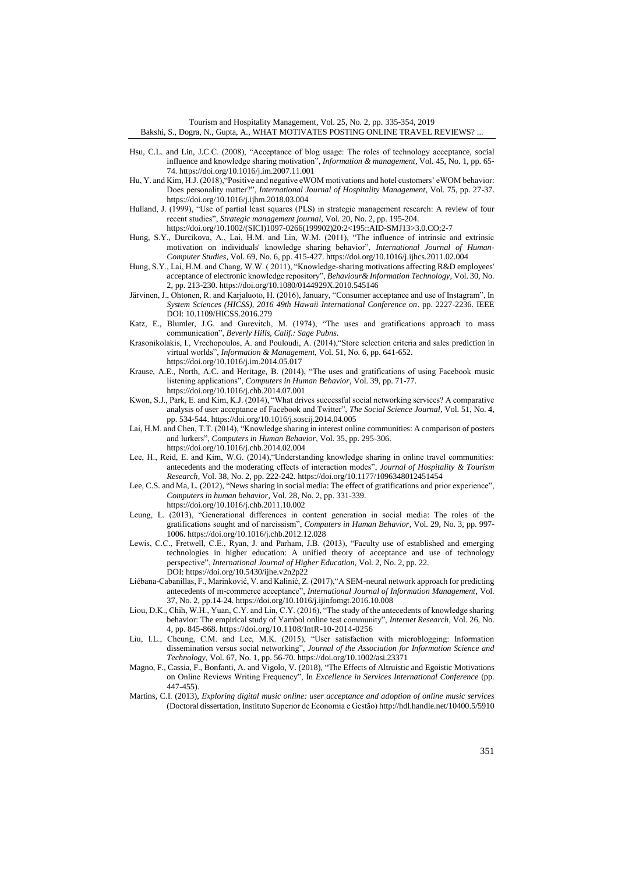Tourism and Hospitality Management, Vol. 25, No. 2, pp. 335-354, 2019 Bakshi, S., Dogra, N., Gupta, A., WHAT MOTIVATES POSTING ONLINE TRAVEL REVIEWS? ...

- Hsu, C.L. and Lin, J.C.C. (2008), "Acceptance of blog usage: The roles of technology acceptance, social influence and knowledge sharing motivation", *Information & management*, Vol. 45, No. 1, pp. 65- 74[. https://doi.org/10.1016/j.im.2007.11.001](https://doi.org/10.1016/j.im.2007.11.001)
- Hu, Y. and Kim, H.J. (2018),"Positive and negative eWOM motivations and hotel customers' eWOM behavior: Does personality matter?", *International Journal of Hospitality Management*, Vol. 75, pp. 27-37. <https://doi.org/10.1016/j.ijhm.2018.03.004>
- Hulland, J. (1999), "Use of partial least squares (PLS) in strategic management research: A review of four recent studies", *Strategic management journal*, Vol. 20, No. 2, pp. 195-204.

[https://doi.org/10.1002/\(SICI\)1097-0266\(199902\)20:2<195::AID-SMJ13>3.0.CO;2-7](https://doi.org/10.1002/(SICI)1097-0266(199902)20:2%3C195::AID-SMJ13%3E3.0.CO;2-7)

- Hung, S.Y., Durcikova, A., Lai, H.M. and Lin, W.M. (2011), "The influence of intrinsic and extrinsic motivation on individuals' knowledge sharing behavior", *International Journal of Human-Computer Studies*, Vol. 69, No. 6, pp. 415-427[. https://doi.org/10.1016/j.ijhcs.2011.02.004](https://doi.org/10.1016/j.ijhcs.2011.02.004)
- Hung, S.Y., Lai, H.M. and Chang, W.W. ( 2011), "Knowledge-sharing motivations affecting R&D employees' acceptance of electronic knowledge repository", *Behaviour& Information Technology*, Vol. 30, No. 2, pp. 213-230[. https://doi.org/10.1080/0144929X.2010.545146](https://doi.org/10.1080/0144929X.2010.545146)
- Järvinen, J., Ohtonen, R. and Karjaluoto, H. (2016), January, "Consumer acceptance and use of Instagram", In *System Sciences (HICSS), 2016 49th Hawaii International Conference on*. pp. 2227-2236. IEEE DOI: [10.1109/HICSS.2016.279](https://doi.org/10.1109/HICSS.2016.279)
- Katz, E., Blumler, J.G. and Gurevitch, M. (1974), "The uses and gratifications approach to mass communication", *Beverly Hills, Calif.: Sage Pubns*.
- Krasonikolakis, I., Vrechopoulos, A. and Pouloudi, A. (2014),"Store selection criteria and sales prediction in virtual worlds", *Information & Management*, Vol. 51, No. 6, pp. 641-652.
	- <https://doi.org/10.1016/j.im.2014.05.017>
- Krause, A.E., North, A.C. and Heritage, B. (2014), "The uses and gratifications of using Facebook music listening applications", *Computers in Human Behavior*, Vol. 39, pp. 71-77. <https://doi.org/10.1016/j.chb.2014.07.001>
- Kwon, S.J., Park, E. and Kim, K.J. (2014), "What drives successful social networking services? A comparative analysis of user acceptance of Facebook and Twitter", *The Social Science Journal*, Vol. 51, No. 4, pp. 534-544[. https://doi.org/10.1016/j.soscij.2014.04.005](https://doi.org/10.1016/j.soscij.2014.04.005)
- Lai, H.M. and Chen, T.T. (2014), "Knowledge sharing in interest online communities: A comparison of posters and lurkers", *Computers in Human Behavior*, Vol. 35, pp. 295-306. <https://doi.org/10.1016/j.chb.2014.02.004>
- Lee, H., Reid, E. and Kim, W.G. (2014),"Understanding knowledge sharing in online travel communities: antecedents and the moderating effects of interaction modes", *Journal of Hospitality & Tourism Research*, Vol. 38, No. 2, pp. 222-242[. https://doi.org/10.1177/1096348012451454](https://doi.org/10.1177%2F1096348012451454)
- Lee, C.S. and Ma, L. (2012), "News sharing in social media: The effect of gratifications and prior experience", *Computers in human behavior*, Vol. 28, No. 2, pp. 331-339. <https://doi.org/10.1016/j.chb.2011.10.002>
- Leung, L. (2013), "Generational differences in content generation in social media: The roles of the gratifications sought and of narcissism", *Computers in Human Behavior*, Vol. 29, No. 3, pp. 997- 1006[. https://doi.org/10.1016/j.chb.2012.12.028](https://doi.org/10.1016/j.chb.2012.12.028)
- Lewis, C.C., Fretwell, C.E., Ryan, J. and Parham, J.B. (2013), "Faculty use of established and emerging technologies in higher education: A unified theory of acceptance and use of technology perspective", *International Journal of Higher Education*, Vol. 2, No. 2, pp. 22. DOI[: https://doi.org/10.5430/ijhe.v2n2p22](https://doi.org/10.5430/ijhe.v2n2p22)
- Liébana-Cabanillas, F., Marinković, V. and Kalinić, Z. (2017),"A SEM-neural network approach for predicting antecedents of m-commerce acceptance", *International Journal of Information Management*, Vol. 37, No. 2, pp.14-24[. https://doi.org/10.1016/j.ijinfomgt.2016.10.008](https://doi.org/10.1016/j.ijinfomgt.2016.10.008)
- Liou, D.K., Chih, W.H., Yuan, C.Y. and Lin, C.Y. (2016), "The study of the antecedents of knowledge sharing behavior: The empirical study of Yambol online test community", *Internet Research*, Vol. 26, No. 4, pp. 845-868[. https://doi.org/10.1108/IntR-10-2014-0256](https://doi.org/10.1108/IntR-10-2014-0256)
- Liu, I.L., Cheung, C.M. and Lee, M.K. (2015), "User satisfaction with microblogging: Information dissemination versus social networking", *Journal of the Association for Information Science and Technology*, Vol. 67, No. 1, pp. 56-70[. https://doi.org/10.1002/asi.23371](https://doi.org/10.1002/asi.23371)
- Magno, F., Cassia, F., Bonfanti, A. and Vigolo, V. (2018), "The Effects of Altruistic and Egoistic Motivations on Online Reviews Writing Frequency", In *Excellence in Services International Conference* (pp. 447-455).
- Martins, C.I. (2013), *Exploring digital music online: user acceptance and adoption of online music services*  (Doctoral dissertation, Instituto Superior de Economia e Gestão[\) http://hdl.handle.net/10400.5/5910](http://hdl.handle.net/10400.5/5910)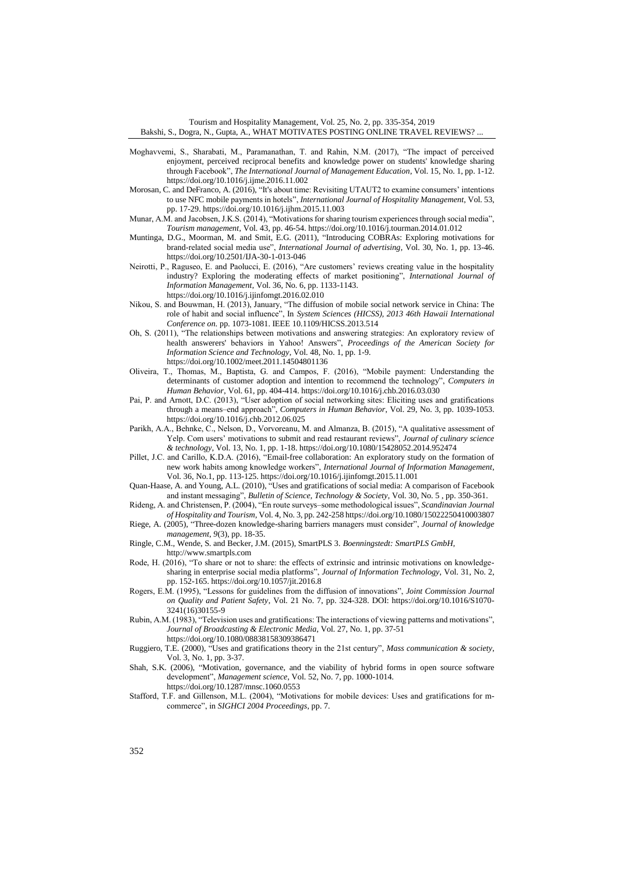- Moghavvemi, S., Sharabati, M., Paramanathan, T. and Rahin, N.M. (2017), "The impact of perceived enjoyment, perceived reciprocal benefits and knowledge power on students' knowledge sharing through Facebook", *The International Journal of Management Education*, Vol. 15, No. 1, pp. 1-12. <https://doi.org/10.1016/j.ijme.2016.11.002>
- Morosan, C. and DeFranco, A. (2016), "It's about time: Revisiting UTAUT2 to examine consumers' intentions to use NFC mobile payments in hotels", *International Journal of Hospitality Management*, Vol. 53, pp. 17-29[. https://doi.org/10.1016/j.ijhm.2015.11.003](https://doi.org/10.1016/j.ijhm.2015.11.003)
- Munar, A.M. and Jacobsen, J.K.S. (2014), "Motivations for sharing tourism experiences through social media", *Tourism management*, Vol. 43, pp. 46-54[. https://doi.org/10.1016/j.tourman.2014.01.012](https://doi.org/10.1016/j.tourman.2014.01.012)
- Muntinga, D.G., Moorman, M. and Smit, E.G. (2011), "Introducing COBRAs: Exploring motivations for brand-related social media use", *International Journal of advertising*, Vol. 30, No. 1, pp. 13-46. <https://doi.org/10.2501/IJA-30-1-013-046>
- Neirotti, P., Raguseo, E. and Paolucci, E. (2016), "Are customers' reviews creating value in the hospitality industry? Exploring the moderating effects of market positioning", *International Journal of Information Management*, Vol. 36, No. 6, pp. 1133-1143. <https://doi.org/10.1016/j.ijinfomgt.2016.02.010>
- Nikou, S. and Bouwman, H. (2013), January, "The diffusion of mobile social network service in China: The role of habit and social influence", In *System Sciences (HICSS), 2013 46th Hawaii International Conference on.* pp. 1073-1081. IEEE [10.1109/HICSS.2013.514](https://doi.org/10.1109/HICSS.2013.514)
- Oh, S. (2011), "The relationships between motivations and answering strategies: An exploratory review of health answerers' behaviors in Yahoo! Answers", *Proceedings of the American Society for Information Science and Technology*, Vol. 48, No. 1, pp. 1-9. <https://doi.org/10.1002/meet.2011.14504801136>
- Oliveira, T., Thomas, M., Baptista, G. and Campos, F. (2016), "Mobile payment: Understanding the determinants of customer adoption and intention to recommend the technology", *Computers in Human Behavior*, Vol. 61, pp. 404-414[. https://doi.org/10.1016/j.chb.2016.03.030](https://doi.org/10.1016/j.chb.2016.03.030)
- Pai, P. and Arnott, D.C. (2013), "User adoption of social networking sites: Eliciting uses and gratifications through a means–end approach", *Computers in Human Behavior*, Vol. 29, No. 3, pp. 1039-1053. <https://doi.org/10.1016/j.chb.2012.06.025>
- Parikh, A.A., Behnke, C., Nelson, D., Vorvoreanu, M. and Almanza, B. (2015), "A qualitative assessment of Yelp. Com users' motivations to submit and read restaurant reviews", *Journal of culinary science & technology*, Vol. 13, No. 1, pp. 1-18[. https://doi.org/10.1080/15428052.2014.952474](https://doi.org/10.1080/15428052.2014.952474)
- Pillet, J.C. and Carillo, K.D.A. (2016), "Email-free collaboration: An exploratory study on the formation of new work habits among knowledge workers", *International Journal of Information Management*, Vol. 36, No.1, pp. 113-125[. https://doi.org/10.1016/j.ijinfomgt.2015.11.001](https://doi.org/10.1016/j.ijinfomgt.2015.11.001)
- Quan-Haase, A. and Young, A.L. (2010), "Uses and gratifications of social media: A comparison of Facebook and instant messaging", *Bulletin of Science, Technology & Society*, Vol. 30, No. 5 , pp. 350-361.
- Rideng, A. and Christensen, P. (2004), "En route surveys–some methodological issues", *Scandinavian Journal of Hospitality and Tourism*, Vol. 4, No. 3, pp. 242-258 <https://doi.org/10.1080/15022250410003807>
- Riege, A. (2005), "Three-dozen knowledge-sharing barriers managers must consider", *Journal of knowledge management*, *9*(3), pp. 18-35.
- Ringle, C.M., Wende, S. and Becker, J.M. (2015), SmartPLS 3. *Boenningstedt: SmartPLS GmbH,*  http://www.smartpls.com
- Rode, H. (2016), "To share or not to share: the effects of extrinsic and intrinsic motivations on knowledgesharing in enterprise social media platforms", *Journal of Information Technology*, Vol. 31, No. 2, pp. 152-165. <https://doi.org/10.1057/jit.2016.8>
- Rogers, E.M. (1995), "Lessons for guidelines from the diffusion of innovations", *Joint Commission Journal on Quality and Patient Safety*, Vol. 21 No. 7, pp. 324-328. DOI: [https://doi.org/10.1016/S1070-](https://doi.org/10.1016/S1070-3241(16)30155-9) [3241\(16\)30155-9](https://doi.org/10.1016/S1070-3241(16)30155-9)
- Rubin, A.M. (1983), "Television uses and gratifications: The interactions of viewing patterns and motivations", *Journal of Broadcasting & Electronic Media*, Vol. 27, No. 1, pp. 37-51
	- <https://doi.org/10.1080/08838158309386471>
- Ruggiero, T.E. (2000), "Uses and gratifications theory in the 21st century", *Mass communication & society*, Vol. 3, No. 1, pp. 3-37.
- Shah, S.K. (2006), "Motivation, governance, and the viability of hybrid forms in open source software development", *Management science*, Vol. 52, No. 7, pp. 1000-1014. <https://doi.org/10.1287/mnsc.1060.0553>
- Stafford, T.F. and Gillenson, M.L. (2004), "Motivations for mobile devices: Uses and gratifications for mcommerce", in *SIGHCI 2004 Proceedings*, pp. 7.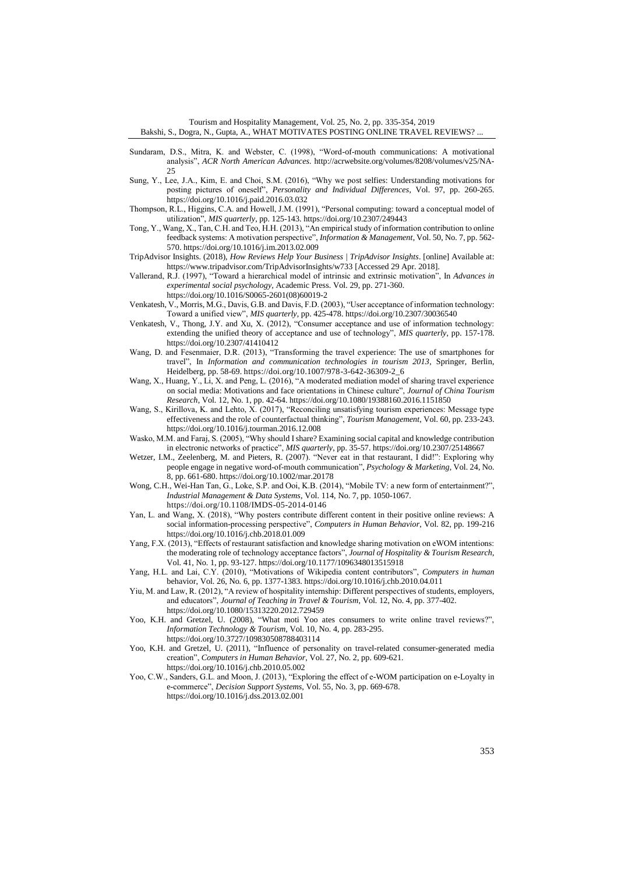Tourism and Hospitality Management, Vol. 25, No. 2, pp. 335-354, 2019 Bakshi, S., Dogra, N., Gupta, A., WHAT MOTIVATES POSTING ONLINE TRAVEL REVIEWS? ...

- Sundaram, D.S., Mitra, K. and Webster, C. (1998), "Word-of-mouth communications: A motivational analysis", *ACR North American Advances.* [http://acrwebsite.org/volumes/8208/volumes/v25/NA-](http://acrwebsite.org/volumes/8208/volumes/v25/NA-25) $25$
- Sung, Y., Lee, J.A., Kim, E. and Choi, S.M. (2016), "Why we post selfies: Understanding motivations for posting pictures of oneself", *Personality and Individual Differences*, Vol. 97, pp. 260-265. <https://doi.org/10.1016/j.paid.2016.03.032>
- Thompson, R.L., Higgins, C.A. and Howell, J.M. (1991), "Personal computing: toward a conceptual model of utilization", *MIS quarterly*, pp. 125-143[. https://doi.org/10.2307/249443](https://doi.org/10.2307/249443)
- Tong, Y., Wang, X., Tan, C.H. and Teo, H.H. (2013), "An empirical study of information contribution to online feedback systems: A motivation perspective", *Information & Management*, Vol. 50, No. 7, pp. 562- 570[. https://doi.org/10.1016/j.im.2013.02.009](https://doi.org/10.1016/j.im.2013.02.009)
- TripAdvisor Insights. (2018), *How Reviews Help Your Business | TripAdvisor Insights*. [online] Available at: <https://www.tripadvisor.com/TripAdvisorInsights/w733> [Accessed 29 Apr. 2018].
- Vallerand, R.J. (1997), "Toward a hierarchical model of intrinsic and extrinsic motivation", In *Advances in experimental social psychology,* Academic Press. Vol. 29, pp. 271-360.
	- [https://doi.org/10.1016/S0065-2601\(08\)60019-2](https://doi.org/10.1016/S0065-2601(08)60019-2)
- Venkatesh, V., Morris, M.G., Davis, G.B. and Davis, F.D. (2003), "User acceptance of information technology: Toward a unified view", *MIS quarterly*, pp. 425-478[. https://doi.org/10.2307/30036540](https://doi.org/10.2307/30036540)
- Venkatesh, V., Thong, J.Y. and Xu, X. (2012), "Consumer acceptance and use of information technology: extending the unified theory of acceptance and use of technology", *MIS quarterly*, pp. 157-178. https://doi.org/10.2307/41410412
- Wang, D. and Fesenmaier, D.R. (2013), "Transforming the travel experience: The use of smartphones for travel", In *Information and communication technologies in tourism 2013,* Springer, Berlin, Heidelberg, pp. 58-69. [https://doi.org/10.1007/978-3-642-36309-2\\_6](https://doi.org/10.1007/978-3-642-36309-2_6)
- Wang, X., Huang, Y., Li, X. and Peng, L. (2016), "A moderated mediation model of sharing travel experience on social media: Motivations and face orientations in Chinese culture", *Journal of China Tourism Research*, Vol. 12, No. 1, pp. 42-64[. https://doi.org/10.1080/19388160.2016.1151850](https://doi.org/10.1080/19388160.2016.1151850)
- Wang, S., Kirillova, K. and Lehto, X. (2017), "Reconciling unsatisfying tourism experiences: Message type effectiveness and the role of counterfactual thinking", *Tourism Management*, Vol. 60, pp. 233-243. <https://doi.org/10.1016/j.tourman.2016.12.008>
- Wasko, M.M. and Faraj, S. (2005), "Why should I share? Examining social capital and knowledge contribution in electronic networks of practice", *MIS quarterly*, pp. 35-57[. https://doi.org/10.2307/25148667](https://doi.org/10.2307/25148667)
- Wetzer, I.M., Zeelenberg, M. and Pieters, R. (2007). "Never eat in that restaurant, I did!": Exploring why people engage in negative word‐of‐mouth communication", *Psychology & Marketing*, Vol. 24, No. 8, pp. 661-680[. https://doi.org/10.1002/mar.20178](https://doi.org/10.1002/mar.20178)
- Wong, C.H., Wei-Han Tan, G., Loke, S.P. and Ooi, K.B. (2014), "Mobile TV: a new form of entertainment?", *Industrial Management & Data Systems*, Vol. 114, No. 7, pp. 1050-1067.
	- <https://doi.org/10.1108/IMDS-05-2014-0146>
- Yan, L. and Wang, X. (2018), "Why posters contribute different content in their positive online reviews: A social information-processing perspective", *Computers in Human Behavior*, Vol. 82, pp. 199-216 <https://doi.org/10.1016/j.chb.2018.01.009>
- Yang, F.X. (2013), "Effects of restaurant satisfaction and knowledge sharing motivation on eWOM intentions: the moderating role of technology acceptance factors", *Journal of Hospitality & Tourism Research*, Vol. 41, No. 1, pp. 93-127[. https://doi.org/10.1177/1096348013515918](https://doi.org/10.1177%2F1096348013515918)
- Yang, H.L. and Lai, C.Y. (2010), "Motivations of Wikipedia content contributors", *Computers in human*  behavior, Vol. 26, No*.* 6, pp. 1377-1383. <https://doi.org/10.1016/j.chb.2010.04.011>
- Yiu, M. and Law, R. (2012), "A review of hospitality internship: Different perspectives of students, employers, and educators", *Journal of Teaching in Travel & Tourism*, Vol. 12, No. 4, pp. 377-402. <https://doi.org/10.1080/15313220.2012.729459>
- Yoo, K.H. and Gretzel, U. (2008), "What moti Yoo ates consumers to write online travel reviews?", *Information Technology & Tourism*, Vol. 10, No. 4, pp. 283-295. <https://doi.org/10.3727/109830508788403114>
- Yoo, K.H. and Gretzel, U. (2011), "Influence of personality on travel-related consumer-generated media creation", *Computers in Human Behavior*, Vol. 27, No. 2, pp. 609-621.
	- <https://doi.org/10.1016/j.chb.2010.05.002>
- Yoo, C.W., Sanders, G.L. and Moon, J. (2013), "Exploring the effect of e-WOM participation on e-Loyalty in e-commerce", *Decision Support Systems*, Vol. 55, No. 3, pp. 669-678. <https://doi.org/10.1016/j.dss.2013.02.001>